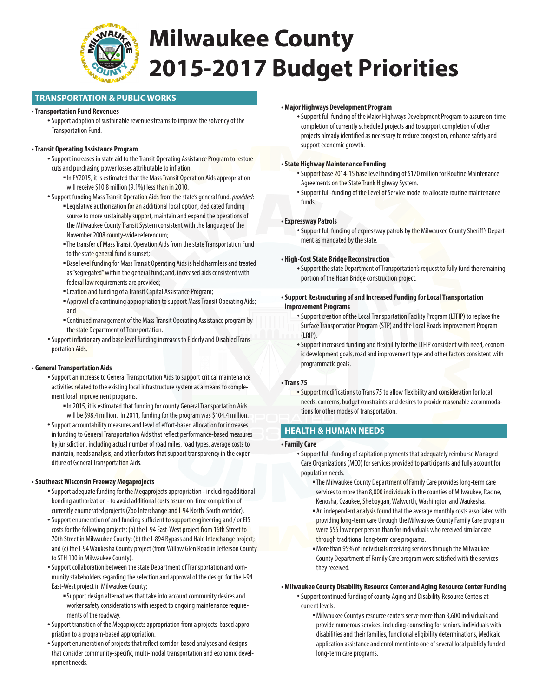

# **Milwaukee County 2015-2017 Budget Priorities**

# **TRANSPORTATION & PUBLIC WORKS**

## **• Transportation Fund Revenues**

◆ Support adoption of sustainable revenue streams to improve the solvency of the Transportation Fund.

## **• Transit Operating Assistance Program**

- ◆ Support increases in state aid to the Transit Operating Assistance Program to restore cuts and purchasing power losses attributable to inflation.
	- In FY2015, it is estimated that the Mass Transit Operation Aids appropriation will receive \$10.8 million (9.1%) less than in 2010.
- ◆ Support funding Mass Transit Operation Aids from the state's general fund, *provided*:
	- **Example 1** Legislative authorization for an additional local option, dedicated funding source to more sustainably support, maintain and expand the operations of the Milwaukee County Transit System consistent with the language of the November 2008 county-wide referendum;
	- The transfer of Mass Transit Operation Aids from the state Transportation Fund to the state general fund is sunset;
	- Base level funding for Mass Transit Operating Aids is held harmless and treated as "segregated" within the general fund; and, increased aids consistent with federal law requirements are provided;
	- Creation and funding of a Transit Capital Assistance Program;
	- Approval of a continuing appropriation to support Mass Transit Operating Aids; and
	- Continued management of the Mass Transit Operating Assistance program by the state Department of Transportation.
- ◆ Support inflationary and base level funding increases to Elderly and Disabled Transportation Aids.

## **• General Transportation Aids**

- ◆ Support an increase to General Transportation Aids to support critical maintenance activities related to the existing local infrastructure system as a means to complement local improvement programs.
	- In 2015, it is estimated that funding for county General Transportation Aids will be \$98.4 million. In 2011, funding for the program was \$104.4 million.
- ◆ Support accountability measures and level of effort-based allocation for increases in funding to General Transportation Aids that reflect performance-based measures by jurisdiction, including actual number of road miles, road types, average costs to maintain, needs analysis, and other factors that support transparency in the expenditure of General Transportation Aids.

## **• Southeast Wisconsin Freeway Megaprojects**

- ◆ Support adequate funding for the Megaprojects appropriation including additional bonding authorization - to avoid additional costs assure on-time completion of currently enumerated projects (Zoo Interchange and I-94 North-South corridor).
- ◆ Support enumeration of and funding sufficient to support engineering and / or EIS costs for the following projects: (a) the I-94 East-West project from 16th Street to 70th Street in Milwaukee County; (b) the I-894 Bypass and Hale Interchange project; and (c) the I-94 Waukesha County project (from Willow Glen Road in Jefferson County to STH 100 in Milwaukee County).
- ◆ Support collaboration between the state Department of Transportation and community stakeholders regarding the selection and approval of the design for the I-94 East-West project in Milwaukee County;
	- Support design alternatives that take into account community desires and worker safety considerations with respect to ongoing maintenance requirements of the roadway.
- ◆ Support transition of the Megaprojects appropriation from a projects-based appropriation to a program-based appropriation.
- ◆ Support enumeration of projects that reflect corridor-based analyses and designs that consider community-specific, multi-modal transportation and economic development needs.

## **• Major Highways Development Program**

◆ Support full funding of the Major Highways Development Program to assure on-time completion of currently scheduled projects and to support completion of other projects already identified as necessary to reduce congestion, enhance safety and support economic growth.

## **• State Highway Maintenance Funding**

- ◆ Support base 2014-15 base level funding of \$170 million for Routine Maintenance Agreements on the State Trunk Highway System.
- ◆ Support full-funding of the Level of Service model to allocate routine maintenance funds.

## **• Expressway Patrols**

◆ Support full funding of expressway patrols by the Milwaukee County Sheriff's Department as mandated by the state.

## **• High-Cost State Bridge Reconstruction**

◆ Support the state Department of Transportation's request to fully fund the remaining portion of the Hoan Bridge construction project.

- **Support Restructuring of and Increased Funding for Local Transportation Improvement Programs** 
	- ◆ Support creation of the Local Transportation Facility Program (LTFIP) to replace the Surface Transportation Program (STP) and the Local Roads Improvement Program  $(IRIP)$ .
	- ◆ Support increased funding and flexibility for the LTFIP consistent with need, economic development goals, road and improvement type and other factors consistent with programmatic goals.

## **• Trans 75**

◆ Support modifications to Trans 75 to allow flexibility and consideration for local needs, concerns, budget constraints and desires to provide reasonable accommodations for other modes of transportation.

# **HEALTH & HUMAN NEEDS**

## **• Family Care**

- ◆ Support full-funding of capitation payments that adequately reimburse Managed Care Organizations (MCO) for services provided to participants and fully account for population needs.
	- The Milwaukee County Department of Family Care provides long-term care services to more than 8,000 individuals in the counties of Milwaukee, Racine, Kenosha, Ozaukee, Sheboygan, Walworth, Washington and Waukesha.
	- An independent analysis found that the average monthly costs associated with providing long-term care through the Milwaukee County Family Care program were \$55 lower per person than for individuals who received similar care through traditional long-term care programs.
	- More than 95% of individuals receiving services through the Milwaukee County Department of Family Care program were satisfied with the services they received.

## **• Milwaukee County Disability Resource Center and Aging Resource Center Funding**

◆ Support continued funding of county Aging and Disability Resource Centers at current levels.

 ■ Milwaukee County's resource centers serve more than 3,600 individuals and provide numerous services, including counseling for seniors, individuals with disabilities and their families, functional eligibility determinations, Medicaid application assistance and enrollment into one of several local publicly funded long-term care programs.